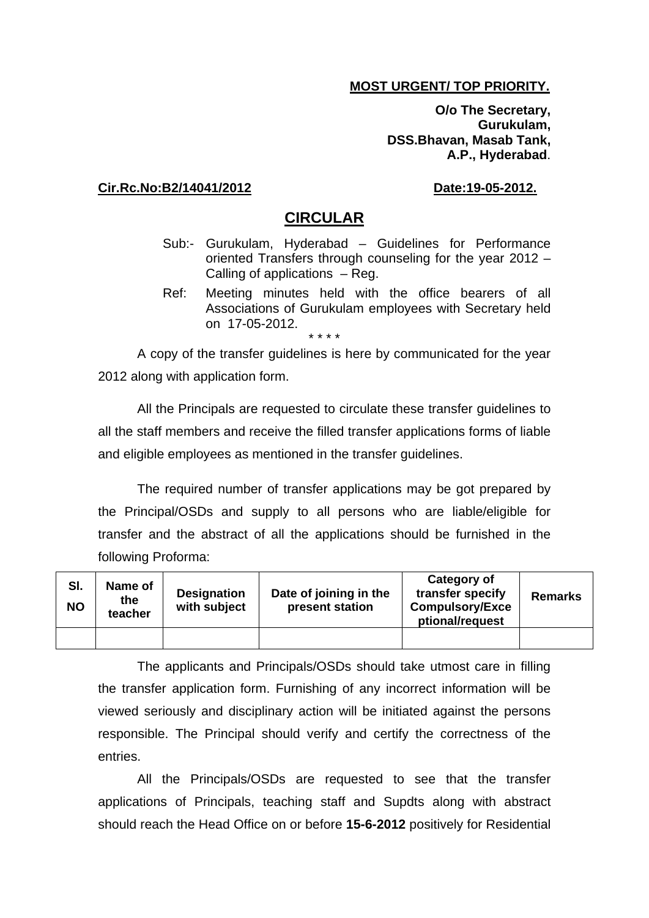#### **MOST URGENT/ TOP PRIORITY.**

**O/o The Secretary, Gurukulam, DSS.Bhavan, Masab Tank, A.P., Hyderabad**.

#### **Cir.Rc.No:B2/14041/2012 Date:19-05-2012.**

#### **CIRCULAR**

- Sub:- Gurukulam, Hyderabad Guidelines for Performance oriented Transfers through counseling for the year 2012 – Calling of applications – Reg.
- Ref: Meeting minutes held with the office bearers of all Associations of Gurukulam employees with Secretary held on 17-05-2012. \* \* \* \*

A copy of the transfer guidelines is here by communicated for the year 2012 along with application form.

All the Principals are requested to circulate these transfer guidelines to all the staff members and receive the filled transfer applications forms of liable and eligible employees as mentioned in the transfer guidelines.

The required number of transfer applications may be got prepared by the Principal/OSDs and supply to all persons who are liable/eligible for transfer and the abstract of all the applications should be furnished in the following Proforma:

| SI.<br><b>NO</b> | Name of<br>the<br>teacher | <b>Designation</b><br>with subject | Date of joining in the<br>present station | Category of<br>transfer specify<br><b>Compulsory/Exce</b><br>ptional/request | <b>Remarks</b> |
|------------------|---------------------------|------------------------------------|-------------------------------------------|------------------------------------------------------------------------------|----------------|
|                  |                           |                                    |                                           |                                                                              |                |

The applicants and Principals/OSDs should take utmost care in filling the transfer application form. Furnishing of any incorrect information will be viewed seriously and disciplinary action will be initiated against the persons responsible. The Principal should verify and certify the correctness of the entries.

All the Principals/OSDs are requested to see that the transfer applications of Principals, teaching staff and Supdts along with abstract should reach the Head Office on or before **15-6-2012** positively for Residential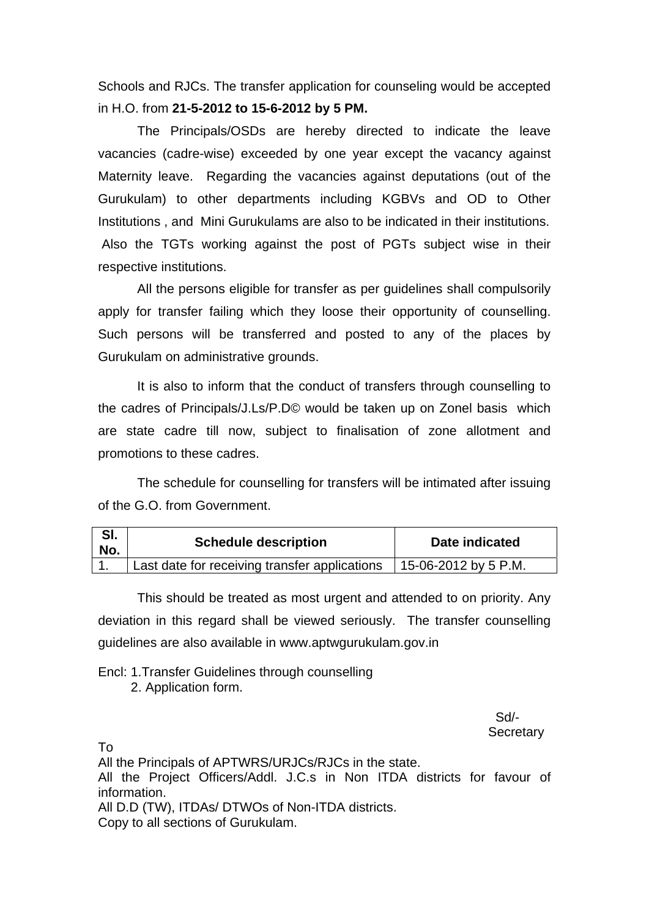Schools and RJCs. The transfer application for counseling would be accepted in H.O. from **21-5-2012 to 15-6-2012 by 5 PM.** 

 The Principals/OSDs are hereby directed to indicate the leave vacancies (cadre-wise) exceeded by one year except the vacancy against Maternity leave. Regarding the vacancies against deputations (out of the Gurukulam) to other departments including KGBVs and OD to Other Institutions , and Mini Gurukulams are also to be indicated in their institutions. Also the TGTs working against the post of PGTs subject wise in their respective institutions.

 All the persons eligible for transfer as per guidelines shall compulsorily apply for transfer failing which they loose their opportunity of counselling. Such persons will be transferred and posted to any of the places by Gurukulam on administrative grounds.

It is also to inform that the conduct of transfers through counselling to the cadres of Principals/J.Ls/P.D© would be taken up on Zonel basis which are state cadre till now, subject to finalisation of zone allotment and promotions to these cadres.

The schedule for counselling for transfers will be intimated after issuing of the G.O. from Government.

| SI.<br>No. | <b>Schedule description</b>                   | Date indicated       |  |
|------------|-----------------------------------------------|----------------------|--|
|            | Last date for receiving transfer applications | 15-06-2012 by 5 P.M. |  |

This should be treated as most urgent and attended to on priority. Any deviation in this regard shall be viewed seriously. The transfer counselling guidelines are also available in www.aptwgurukulam.gov.in

Encl: 1.Transfer Guidelines through counselling 2. Application form.

 Sd/- **Secretary** 

To

All the Principals of APTWRS/URJCs/RJCs in the state. All the Project Officers/Addl. J.C.s in Non ITDA districts for favour of information. All D.D (TW), ITDAs/ DTWOs of Non-ITDA districts. Copy to all sections of Gurukulam.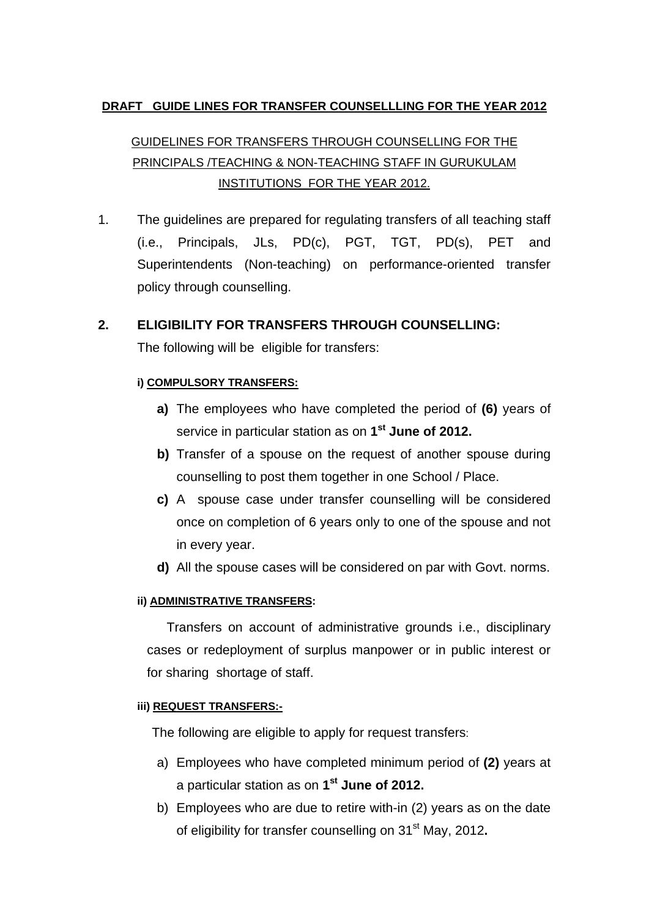#### **DRAFT GUIDE LINES FOR TRANSFER COUNSELLLING FOR THE YEAR 2012**

## GUIDELINES FOR TRANSFERS THROUGH COUNSELLING FOR THE PRINCIPALS /TEACHING & NON-TEACHING STAFF IN GURUKULAM INSTITUTIONS FOR THE YEAR 2012.

1. The guidelines are prepared for regulating transfers of all teaching staff (i.e., Principals, JLs, PD(c), PGT, TGT, PD(s), PET and Superintendents (Non-teaching) on performance-oriented transfer policy through counselling.

# **2. ELIGIBILITY FOR TRANSFERS THROUGH COUNSELLING:**

The following will be eligible for transfers:

#### **i) COMPULSORY TRANSFERS:**

- **a)** The employees who have completed the period of **(6)** years of service in particular station as on **1st June of 2012.**
- **b)** Transfer of a spouse on the request of another spouse during counselling to post them together in one School / Place.
- **c)** A spouse case under transfer counselling will be considered once on completion of 6 years only to one of the spouse and not in every year.
- **d)** All the spouse cases will be considered on par with Govt. norms.

#### **ii) ADMINISTRATIVE TRANSFERS:**

Transfers on account of administrative grounds i.e., disciplinary cases or redeployment of surplus manpower or in public interest or for sharing shortage of staff.

#### **iii) REQUEST TRANSFERS:-**

The following are eligible to apply for request transfers:

- a) Employees who have completed minimum period of **(2)** years at a particular station as on **1st June of 2012.**
- b) Employees who are due to retire with-in (2) years as on the date of eligibility for transfer counselling on 31st May, 2012**.**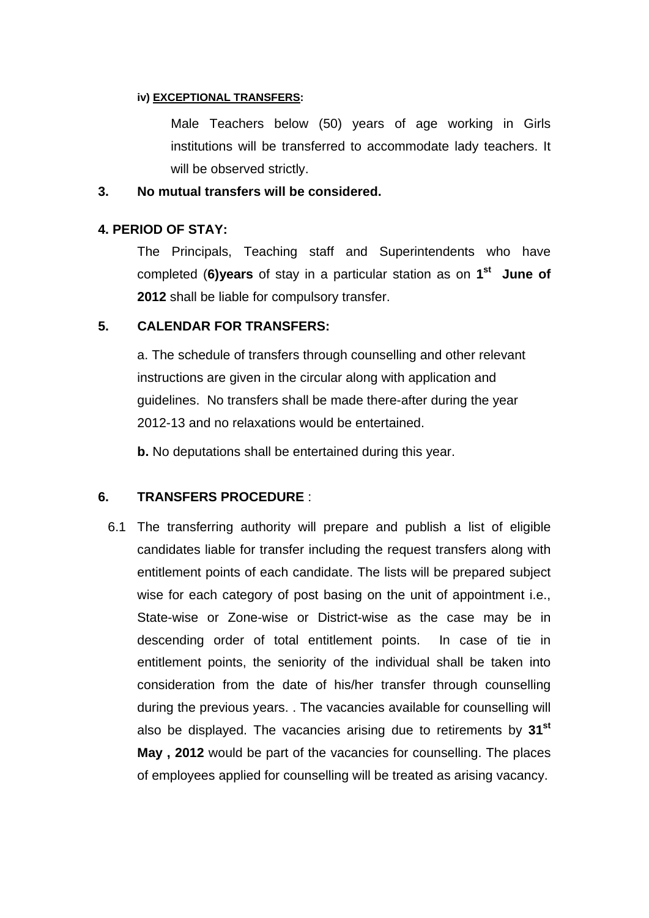#### **iv) EXCEPTIONAL TRANSFERS:**

Male Teachers below (50) years of age working in Girls institutions will be transferred to accommodate lady teachers. It will be observed strictly.

#### **3. No mutual transfers will be considered.**

#### **4. PERIOD OF STAY:**

The Principals, Teaching staff and Superintendents who have completed (**6)years** of stay in a particular station as on **1st June of 2012** shall be liable for compulsory transfer.

#### **5. CALENDAR FOR TRANSFERS:**

a. The schedule of transfers through counselling and other relevant instructions are given in the circular along with application and guidelines. No transfers shall be made there-after during the year 2012-13 and no relaxations would be entertained.

 **b.** No deputations shall be entertained during this year.

#### **6. TRANSFERS PROCEDURE** :

6.1 The transferring authority will prepare and publish a list of eligible candidates liable for transfer including the request transfers along with entitlement points of each candidate. The lists will be prepared subject wise for each category of post basing on the unit of appointment i.e., State-wise or Zone-wise or District-wise as the case may be in descending order of total entitlement points. In case of tie in entitlement points, the seniority of the individual shall be taken into consideration from the date of his/her transfer through counselling during the previous years. . The vacancies available for counselling will also be displayed. The vacancies arising due to retirements by **31st May , 2012** would be part of the vacancies for counselling. The places of employees applied for counselling will be treated as arising vacancy.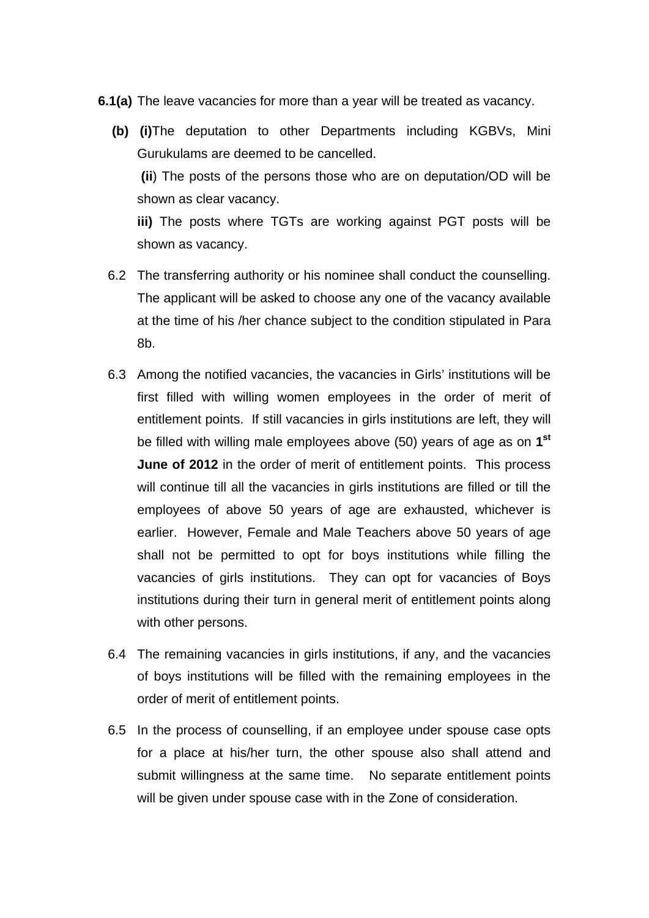- **6.1(a)** The leave vacancies for more than a year will be treated as vacancy.
	- **(b) (i)**The deputation to other Departments including KGBVs, Mini Gurukulams are deemed to be cancelled.  **(ii**) The posts of the persons those who are on deputation/OD will be shown as clear vacancy.  **iii)** The posts where TGTs are working against PGT posts will be

shown as vacancy.

- 6.2 The transferring authority or his nominee shall conduct the counselling. The applicant will be asked to choose any one of the vacancy available at the time of his /her chance subject to the condition stipulated in Para 8b.
- 6.3 Among the notified vacancies, the vacancies in Girls' institutions will be first filled with willing women employees in the order of merit of entitlement points. If still vacancies in girls institutions are left, they will be filled with willing male employees above (50) years of age as on **1st June of 2012** in the order of merit of entitlement points. This process will continue till all the vacancies in girls institutions are filled or till the employees of above 50 years of age are exhausted, whichever is earlier. However, Female and Male Teachers above 50 years of age shall not be permitted to opt for boys institutions while filling the vacancies of girls institutions. They can opt for vacancies of Boys institutions during their turn in general merit of entitlement points along with other persons.
- 6.4 The remaining vacancies in girls institutions, if any, and the vacancies of boys institutions will be filled with the remaining employees in the order of merit of entitlement points.
- 6.5 In the process of counselling, if an employee under spouse case opts for a place at his/her turn, the other spouse also shall attend and submit willingness at the same time. No separate entitlement points will be given under spouse case with in the Zone of consideration.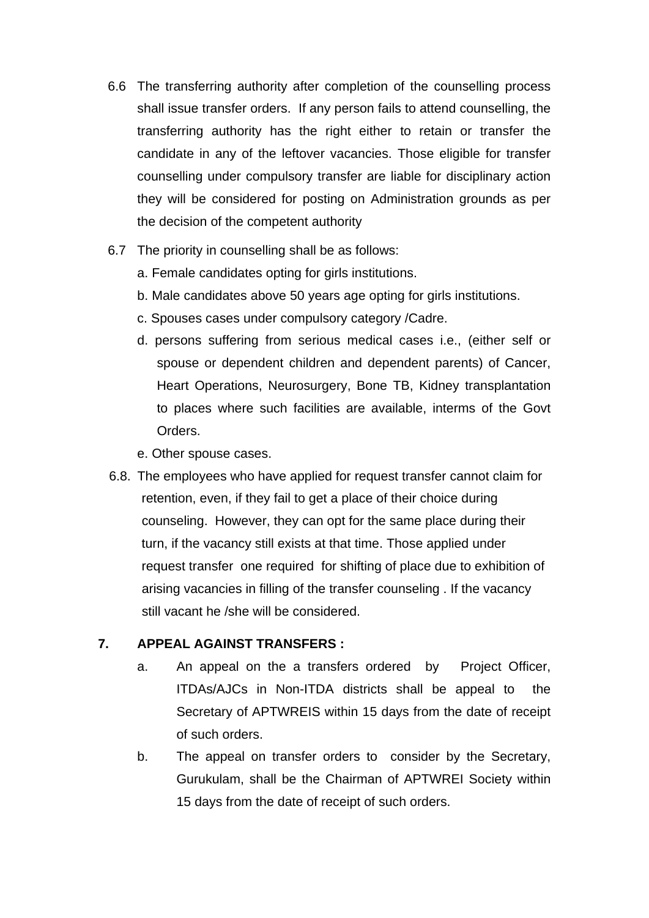- 6.6 The transferring authority after completion of the counselling process shall issue transfer orders. If any person fails to attend counselling, the transferring authority has the right either to retain or transfer the candidate in any of the leftover vacancies. Those eligible for transfer counselling under compulsory transfer are liable for disciplinary action they will be considered for posting on Administration grounds as per the decision of the competent authority
- 6.7 The priority in counselling shall be as follows:
	- a. Female candidates opting for girls institutions.
	- b. Male candidates above 50 years age opting for girls institutions.
	- c. Spouses cases under compulsory category /Cadre.
	- d. persons suffering from serious medical cases i.e., (either self or spouse or dependent children and dependent parents) of Cancer, Heart Operations, Neurosurgery, Bone TB, Kidney transplantation to places where such facilities are available, interms of the Govt Orders.
	- e. Other spouse cases.
- 6.8. The employees who have applied for request transfer cannot claim for retention, even, if they fail to get a place of their choice during counseling. However, they can opt for the same place during their turn, if the vacancy still exists at that time. Those applied under request transfer one required for shifting of place due to exhibition of arising vacancies in filling of the transfer counseling . If the vacancy still vacant he /she will be considered.

#### **7. APPEAL AGAINST TRANSFERS :**

- a. An appeal on the a transfers ordered by Project Officer, ITDAs/AJCs in Non-ITDA districts shall be appeal to the Secretary of APTWREIS within 15 days from the date of receipt of such orders.
- b. The appeal on transfer orders to consider by the Secretary, Gurukulam, shall be the Chairman of APTWREI Society within 15 days from the date of receipt of such orders.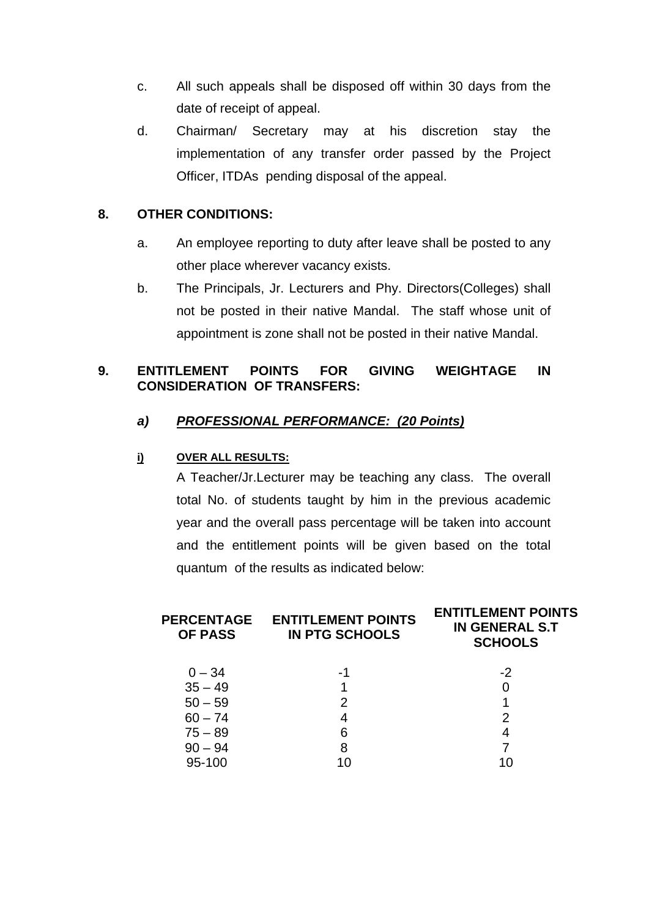- c. All such appeals shall be disposed off within 30 days from the date of receipt of appeal.
- d. Chairman/ Secretary may at his discretion stay the implementation of any transfer order passed by the Project Officer, ITDAs pending disposal of the appeal.

#### **8. OTHER CONDITIONS:**

- a. An employee reporting to duty after leave shall be posted to any other place wherever vacancy exists.
- b. The Principals, Jr. Lecturers and Phy. Directors(Colleges) shall not be posted in their native Mandal. The staff whose unit of appointment is zone shall not be posted in their native Mandal.

#### **9. ENTITLEMENT POINTS FOR GIVING WEIGHTAGE IN CONSIDERATION OF TRANSFERS:**

#### *a) PROFESSIONAL PERFORMANCE: (20 Points)*

#### **i) OVER ALL RESULTS:**

A Teacher/Jr.Lecturer may be teaching any class. The overall total No. of students taught by him in the previous academic year and the overall pass percentage will be taken into account and the entitlement points will be given based on the total quantum of the results as indicated below:

| <b>PERCENTAGE</b><br><b>OF PASS</b> | <b>ENTITLEMENT POINTS</b><br><b>IN PTG SCHOOLS</b> | <b>ENTITLEMENT POINTS</b><br><b>IN GENERAL S.T</b><br><b>SCHOOLS</b> |  |  |
|-------------------------------------|----------------------------------------------------|----------------------------------------------------------------------|--|--|
| $0 - 34$                            | -1                                                 | $-2$                                                                 |  |  |
| $35 - 49$                           |                                                    |                                                                      |  |  |
| $50 - 59$                           | 2                                                  |                                                                      |  |  |
| $60 - 74$                           | 4                                                  | 2                                                                    |  |  |
| $75 - 89$                           | 6                                                  | 4                                                                    |  |  |
| $90 - 94$                           | 8                                                  |                                                                      |  |  |
| 95-100                              | 10                                                 | 10                                                                   |  |  |
|                                     |                                                    |                                                                      |  |  |

**ENTITLEMENT POINTS**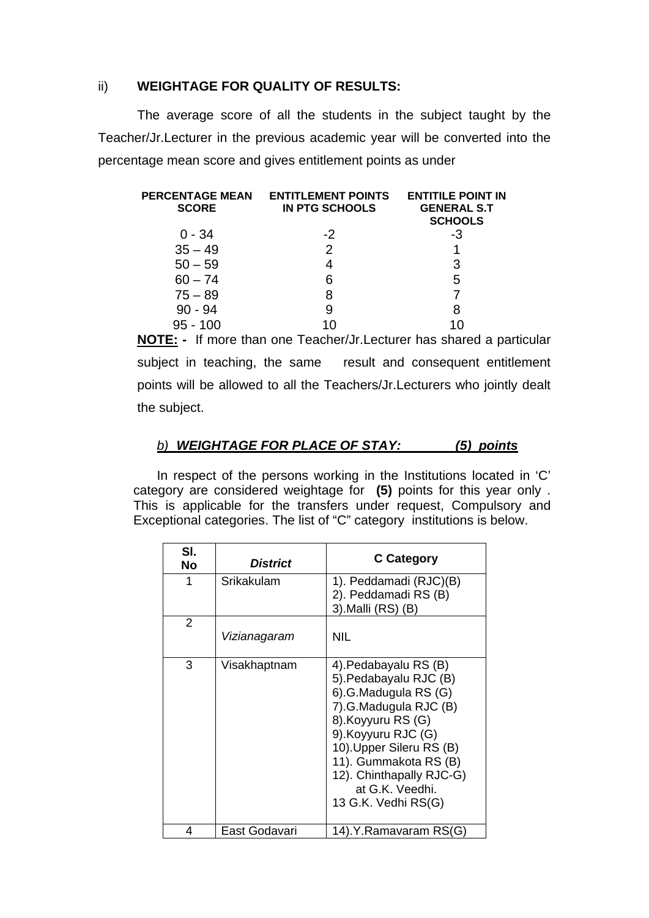#### ii) **WEIGHTAGE FOR QUALITY OF RESULTS:**

The average score of all the students in the subject taught by the Teacher/Jr.Lecturer in the previous academic year will be converted into the percentage mean score and gives entitlement points as under

| <b>PERCENTAGE MEAN</b><br><b>SCORE</b> | <b>ENTITLEMENT POINTS</b><br><b>IN PTG SCHOOLS</b> | <b>ENTITILE POINT IN</b><br><b>GENERAL S.T</b><br><b>SCHOOLS</b> |
|----------------------------------------|----------------------------------------------------|------------------------------------------------------------------|
| $0 - 34$                               | $-2$                                               | -3                                                               |
| $35 - 49$                              | 2                                                  |                                                                  |
| $50 - 59$                              |                                                    | 3                                                                |
| $60 - 74$                              | 6                                                  | 5                                                                |
| $75 - 89$                              | 8                                                  |                                                                  |
| $90 - 94$                              | 9                                                  | 8                                                                |
| 95 - 100                               | 1በ                                                 |                                                                  |

**NOTE: -** If more than one Teacher/Jr.Lecturer has shared a particular subject in teaching, the same result and consequent entitlement points will be allowed to all the Teachers/Jr.Lecturers who jointly dealt the subject.

#### *b) WEIGHTAGE FOR PLACE OF STAY: (5) points*

In respect of the persons working in the Institutions located in 'C' category are considered weightage for **(5)** points for this year only . This is applicable for the transfers under request, Compulsory and Exceptional categories. The list of "C" category institutions is below.

| SI.<br>No | <b>District</b> | <b>C</b> Category                                                                                                                                                                                                                                                        |
|-----------|-----------------|--------------------------------------------------------------------------------------------------------------------------------------------------------------------------------------------------------------------------------------------------------------------------|
| 1         | Srikakulam      | 1). Peddamadi (RJC)(B)<br>2). Peddamadi RS (B)<br>3). Malli (RS) (B)                                                                                                                                                                                                     |
| 2         | Vizianagaram    | <b>NIL</b>                                                                                                                                                                                                                                                               |
| 3         | Visakhaptnam    | 4). Pedabayalu RS (B)<br>5). Pedabayalu RJC (B)<br>6).G.Madugula RS (G)<br>7).G.Madugula RJC (B)<br>8). Koyyuru RS (G)<br>9). Koyyuru RJC (G)<br>10). Upper Sileru RS (B)<br>11). Gummakota RS (B)<br>12). Chinthapally RJC-G)<br>at G.K. Veedhi.<br>13 G.K. Vedhi RS(G) |
| 4         | East Godavari   | 14).Y.Ramavaram RS(G)                                                                                                                                                                                                                                                    |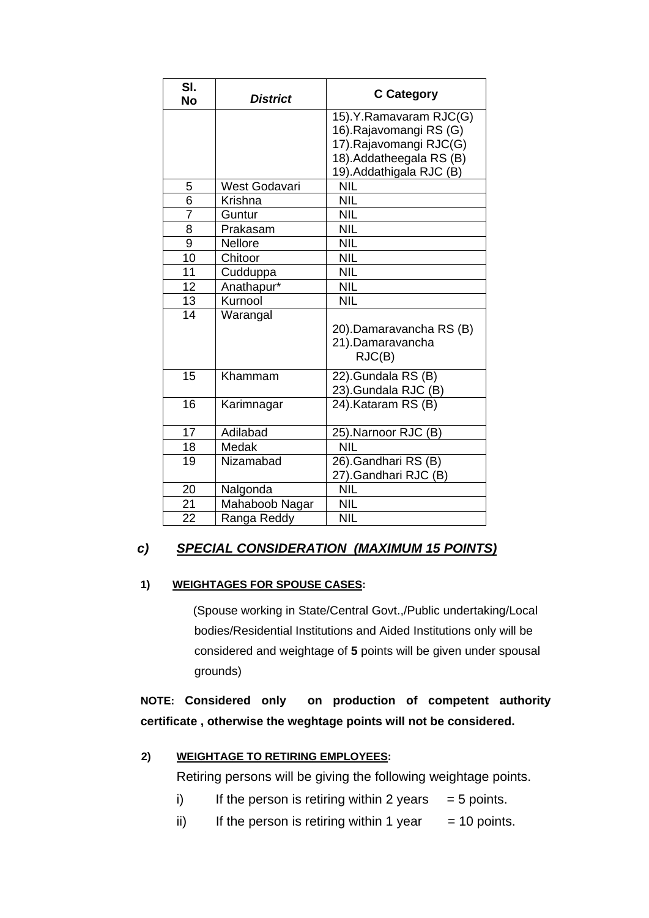| SI.<br><b>No</b> | <b>District</b> | <b>C</b> Category                                                                                                                  |
|------------------|-----------------|------------------------------------------------------------------------------------------------------------------------------------|
|                  |                 | 15).Y.Ramavaram RJC(G)<br>16).Rajavomangi RS (G)<br>17).Rajavomangi RJC(G)<br>18). Addatheegala RS (B)<br>19). Addathigala RJC (B) |
| 5                | West Godavari   | <b>NIL</b>                                                                                                                         |
| 6                | Krishna         | <b>NIL</b>                                                                                                                         |
| 7                | Guntur          | <b>NIL</b>                                                                                                                         |
| 8                | Prakasam        | <b>NIL</b>                                                                                                                         |
| 9                | Nellore         | <b>NIL</b>                                                                                                                         |
| 10               | Chitoor         | <b>NIL</b>                                                                                                                         |
| 11               | Cudduppa        | <b>NIL</b>                                                                                                                         |
| 12               | Anathapur*      | <b>NIL</b>                                                                                                                         |
| 13               | Kurnool         | <b>NIL</b>                                                                                                                         |
| 14               | Warangal        | 20).Damaravancha RS (B)<br>21).Damaravancha<br>RJC(B)                                                                              |
| 15               | Khammam         | 22).Gundala RS (B)<br>23).Gundala RJC (B)                                                                                          |
| 16               | Karimnagar      | 24).Kataram RS (B)                                                                                                                 |
| 17               | Adilabad        | 25).Narnoor RJC (B)                                                                                                                |
| 18               | Medak           | <b>NIL</b>                                                                                                                         |
| 19               | Nizamabad       | 26).Gandhari RS (B)<br>27).Gandhari RJC (B)                                                                                        |
| 20               | Nalgonda        | <b>NIL</b>                                                                                                                         |
| 21               | Mahaboob Nagar  | <b>NIL</b>                                                                                                                         |
| 22               | Ranga Reddy     | <b>NIL</b>                                                                                                                         |

#### *c) SPECIAL CONSIDERATION (MAXIMUM 15 POINTS)*

#### **1) WEIGHTAGES FOR SPOUSE CASES:**

 (Spouse working in State/Central Govt.,/Public undertaking/Local bodies/Residential Institutions and Aided Institutions only will be considered and weightage of **5** points will be given under spousal grounds)

**NOTE: Considered only on production of competent authority certificate , otherwise the weghtage points will not be considered.** 

#### **2) WEIGHTAGE TO RETIRING EMPLOYEES:**

Retiring persons will be giving the following weightage points.

- i) If the person is retiring within 2 years  $= 5$  points.
- ii) If the person is retiring within 1 year  $= 10$  points.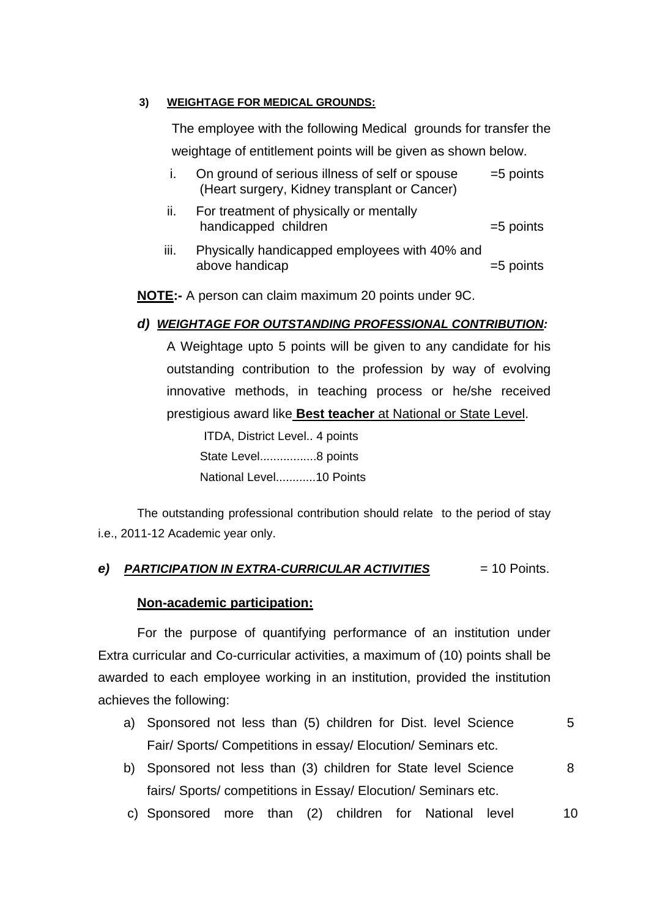#### **3) WEIGHTAGE FOR MEDICAL GROUNDS:**

The employee with the following Medical grounds for transfer the weightage of entitlement points will be given as shown below.

- $=5$  points i. On ground of serious illness of self or spouse (Heart surgery, Kidney transplant or Cancer)
- handicapped children metal and the settlement of the settlement of the settlement of the settlement of the set ii. For treatment of physically or mentally
- above handicap and the set of the set of the set of the set of the set of the set of the set of the set of the set of the set of the set of the set of the set of the set of the set of the set of the set of the set of the s iii. Physically handicapped employees with 40% and

**NOTE:-** A person can claim maximum 20 points under 9C.

#### *d) WEIGHTAGE FOR OUTSTANDING PROFESSIONAL CONTRIBUTION:*

A Weightage upto 5 points will be given to any candidate for his outstanding contribution to the profession by way of evolving innovative methods, in teaching process or he/she received prestigious award like **Best teacher** at National or State Level.

 ITDA, District Level.. 4 points State Level..................8 points National Level............10 Points

The outstanding professional contribution should relate to the period of stay i.e., 20 11-12 Academic year only.

#### *e) PARTICIPATION IN EXTRA-CURRICULAR ACTIVITIES*  $= 10$  Points.

#### **Non-academic participation:**

For the purpose of quantifying performance of an institution under Extra c urricular and Co-curricular activities, a maximum of (10) points shall be awarded to each employee working in an institution, provided the institution achieves the following:

- a) Sponsored not less than (5) children for Dist. level Science 5 Fair/ Sports/ Competitions in essay/ Elocution/ Seminars etc.
- b) Sponsored not less than (3) children for State level Science 8 fairs/ Sports/ competitions in Essay/ Elocution/ Seminars etc.
- $10$ c) Sponsored more than (2) children for National leve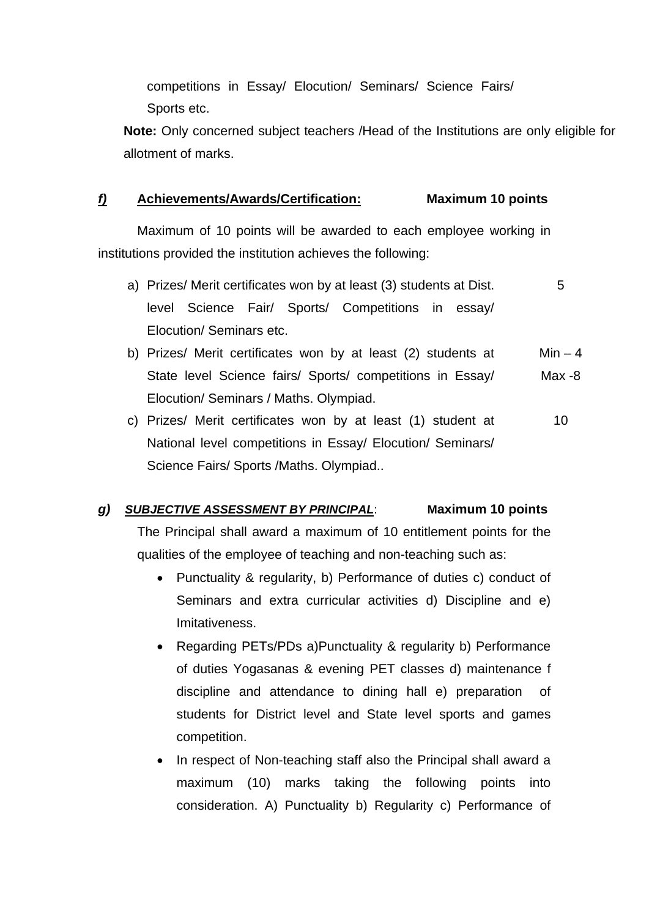competitions in Essay/ Elocution/ Seminars/ Science Fairs/ Sports etc.

**Note:** Only concerned subject teachers /Head of the Institutions are only eligible for allotment of marks.

#### *f)* **Achievements/Awards/Certification: Maximum 10 points**

 Maximum of 10 points will be awarded to each employee working in institutions provided the institution achieves the following:

- a) Prizes/ Merit certificates won by at least (3) students at Dist. 6 level Science Fair/ Sports/ Competitions in essay/ Elocution/ Seminars etc.
- b) Prizes/ Merit certificates won by at least  $(2)$  students at Min 4 State level Science fairs/ Sports/ competitions in Essay/ Elocution/ Seminars / Maths. Olympiad. Max -8
- c) Prizes/ Merit certificates won by at least (1) student at 10 National level competitions in Essay/ Elocution/ Seminars/ Science Fairs/ Sports /Maths. Olympiad..

#### *) SUBJECTIVE ASSESSMENT BY PRINCIPAL g* : **Maximum 10 points**

The Principal shall award a maximum of 10 entitlement points for the qualities of the employee of teaching and non-teaching such as:

- Punctuality & regularity, b) Performance of duties c) conduct of Seminars and extra curricular activities d) Discipline and e) Imitativeness.
- Regarding PETs/PDs a)Punctuality & regularity b) Performance of duties Yogasanas & evening PET classes d) maintenance f discipline and attendance to dining hall e) preparation of students for District level and State level sports and games competition.
- In respect of Non-teaching staff also the Principal shall award a maximum (10) marks taking the following points into consideration. A) Punctuality b) Regularity c) Performance of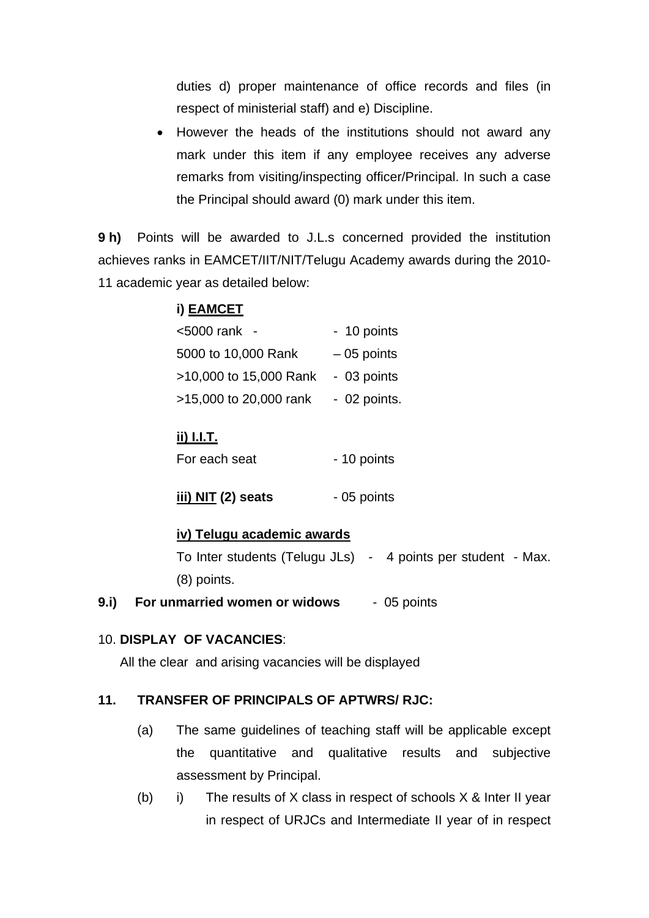duties d) proper maintenance of office records and files (in respect of ministerial staff) and e) Discipline.

• However the heads of the institutions should not award any mark under this item if any employee receives any adverse remarks from visiting/inspecting officer/Principal. In such a case the Principal should award (0) mark under this item.

**9 h)** Points will be awarded to J.L.s concerned provided the institution achieves ranks in EAMCET/IIT/NIT/Telugu Academy awards during the 2010- 11 academic year as detailed below:

## **i) EAMCET**

| <5000 rank -           | - 10 points  |
|------------------------|--------------|
| 5000 to 10,000 Rank    | $-05$ points |
| >10,000 to 15,000 Rank | - 03 points  |
| >15,000 to 20,000 rank | - 02 points. |

### **ii) I.I.T.**

| For each seat | - 10 points |
|---------------|-------------|
|               |             |

#### **iv) Telugu academic awards**

To Inter students (Telugu JLs) - 4 points per student - Max. (8) points.

**9.i) For unmarried women or widows** - 05 points

#### 10. **DISPLAY OF VACANCIES**:

All the clear and arising vacancies will be displayed

#### **11. TRANSFER OF PRINCIPALS OF APTWRS/ RJC:**

- (a) The same guidelines of teaching staff will be applicable except the quantitative and qualitative results and subjective assessment by Principal.
- (b) i) The results of X class in respect of schools  $X \&$  Inter II year in respect of URJCs and Intermediate II year of in respect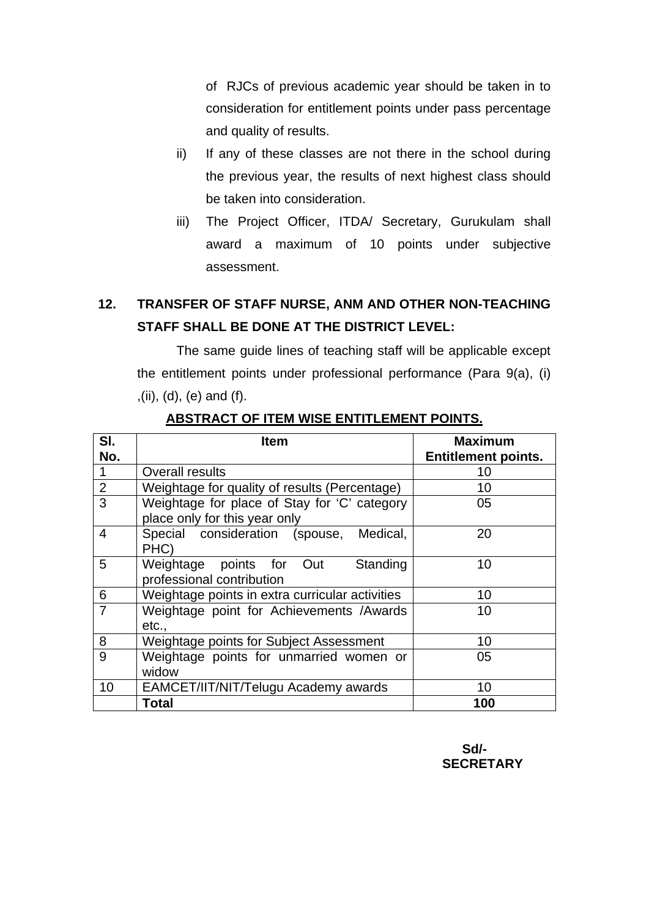of RJCs of previous academic year should be taken in to consideration for entitlement points under pass percentage and quality of results.

- ii) If any of these classes are not there in the school during the previous year, the results of next highest class should be taken into consideration.
- iii) The Project Officer, ITDA/ Secretary, Gurukulam shall award a maximum of 10 points under subjective assessment.

## **12. TRANSFER OF STAFF NURSE, ANM AND OTHER NON-TEACHING STAFF SHALL BE DONE AT THE DISTRICT LEVEL:**

 The same guide lines of teaching staff will be applicable except the entitlement points under professional performance (Para 9(a), (i) ,(ii), (d), (e) and (f).

| SI.            | Item                                                                          | <b>Maximum</b>             |
|----------------|-------------------------------------------------------------------------------|----------------------------|
| No.            |                                                                               | <b>Entitlement points.</b> |
| $\mathbf 1$    | Overall results                                                               | 10                         |
| $\overline{2}$ | Weightage for quality of results (Percentage)                                 | 10                         |
| $\overline{3}$ | Weightage for place of Stay for 'C' category<br>place only for this year only | 05                         |
| 4              | Special consideration (spouse,<br>Medical,<br>PHC)                            | 20                         |
| 5              | Weightage points for Out<br>Standing<br>professional contribution             | 10                         |
| 6              | Weightage points in extra curricular activities                               | 10                         |
| $\overline{7}$ | Weightage point for Achievements /Awards<br>etc.,                             | 10                         |
| 8              | Weightage points for Subject Assessment                                       | 10                         |
| 9              | Weightage points for unmarried women or<br>widow                              | 05                         |
| 10             | EAMCET/IIT/NIT/Telugu Academy awards                                          | 10 <sup>1</sup>            |
|                | <b>Total</b>                                                                  | 100                        |

### **ABSTRACT OF ITEM WISE ENTITLEMENT POINTS.**

 **Sd/- SECRETARY**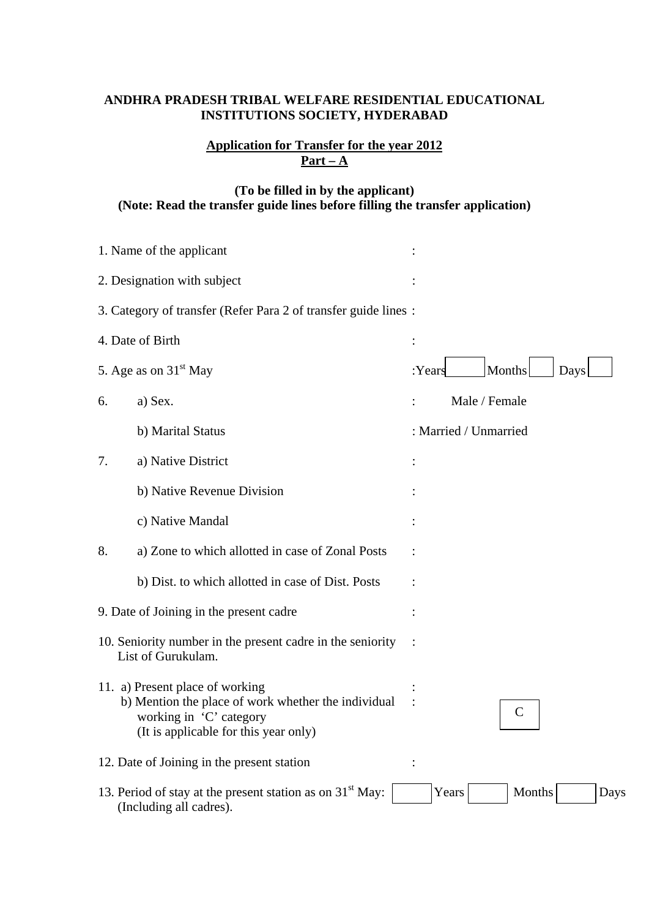#### **ANDHRA PRADESH TRIBAL WELFARE RESIDENTIAL EDUCATIONAL INSTITUTIONS SOCIETY, HYDERABAD**

#### **Application for Transfer for the year 2012**  $Part - A$

### **(To be filled in by the applicant) (Note: Read the transfer guide lines before filling the transfer application)**

| 1. Name of the applicant                                                                                                                                   |                                                                                        |        |                       |
|------------------------------------------------------------------------------------------------------------------------------------------------------------|----------------------------------------------------------------------------------------|--------|-----------------------|
| 2. Designation with subject                                                                                                                                |                                                                                        |        |                       |
|                                                                                                                                                            | 3. Category of transfer (Refer Para 2 of transfer guide lines:                         |        |                       |
|                                                                                                                                                            | 4. Date of Birth                                                                       | :      |                       |
|                                                                                                                                                            | 5. Age as on 31 <sup>st</sup> May                                                      | :Years | Months<br>Days        |
| 6.                                                                                                                                                         | a) Sex.                                                                                |        | Male / Female         |
|                                                                                                                                                            | b) Marital Status                                                                      |        | : Married / Unmarried |
| 7.                                                                                                                                                         | a) Native District                                                                     |        |                       |
|                                                                                                                                                            | b) Native Revenue Division                                                             |        |                       |
|                                                                                                                                                            | c) Native Mandal                                                                       |        |                       |
| 8.                                                                                                                                                         | a) Zone to which allotted in case of Zonal Posts                                       |        |                       |
|                                                                                                                                                            | b) Dist. to which allotted in case of Dist. Posts                                      |        |                       |
|                                                                                                                                                            | 9. Date of Joining in the present cadre                                                |        |                       |
| 10. Seniority number in the present cadre in the seniority<br>List of Gurukulam.                                                                           |                                                                                        |        |                       |
| 11. a) Present place of working<br>b) Mention the place of work whether the individual<br>working in 'C' category<br>(It is applicable for this year only) |                                                                                        |        | $\mathsf{C}$          |
| 12. Date of Joining in the present station                                                                                                                 |                                                                                        |        |                       |
|                                                                                                                                                            | 13. Period of stay at the present station as on $31st$ May:<br>(Including all cadres). | Years  | Months<br>Days        |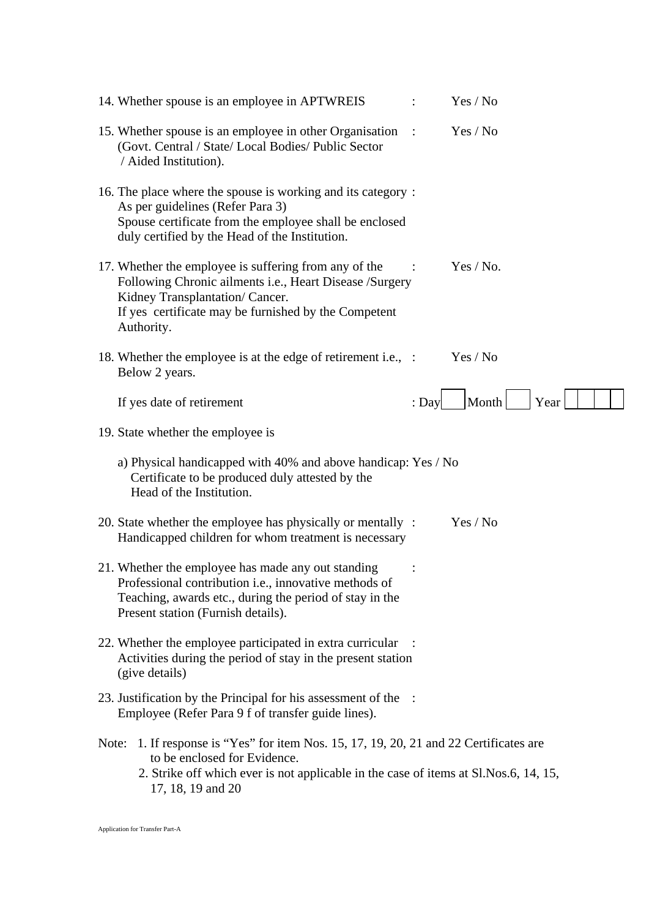| 14. Whether spouse is an employee in APTWREIS                                                                                                                                                                                            |                | Yes / No  |      |  |
|------------------------------------------------------------------------------------------------------------------------------------------------------------------------------------------------------------------------------------------|----------------|-----------|------|--|
| 15. Whether spouse is an employee in other Organisation<br>(Govt. Central / State/ Local Bodies/ Public Sector<br>/ Aided Institution).                                                                                                  | $\mathbb{R}^2$ | Yes / No  |      |  |
| 16. The place where the spouse is working and its category:<br>As per guidelines (Refer Para 3)<br>Spouse certificate from the employee shall be enclosed<br>duly certified by the Head of the Institution.                              |                |           |      |  |
| 17. Whether the employee is suffering from any of the<br>Following Chronic ailments i.e., Heart Disease /Surgery<br>Kidney Transplantation/ Cancer.<br>If yes certificate may be furnished by the Competent<br>Authority.                |                | Yes / No. |      |  |
| 18. Whether the employee is at the edge of retirement i.e., :<br>Below 2 years.                                                                                                                                                          |                | Yes / No  |      |  |
| If yes date of retirement                                                                                                                                                                                                                | $:$ Day        | Month     | Year |  |
| 19. State whether the employee is                                                                                                                                                                                                        |                |           |      |  |
| a) Physical handicapped with 40% and above handicap: Yes / No<br>Certificate to be produced duly attested by the<br>Head of the Institution.                                                                                             |                |           |      |  |
| 20. State whether the employee has physically or mentally :<br>Handicapped children for whom treatment is necessary                                                                                                                      |                | Yes / No  |      |  |
| 21. Whether the employee has made any out standing<br>Professional contribution i.e., innovative methods of<br>Teaching, awards etc., during the period of stay in the<br>Present station (Furnish details).                             |                |           |      |  |
| 22. Whether the employee participated in extra curricular<br>Activities during the period of stay in the present station<br>(give details)                                                                                               |                |           |      |  |
| 23. Justification by the Principal for his assessment of the :<br>Employee (Refer Para 9 f of transfer guide lines).                                                                                                                     |                |           |      |  |
| 1. If response is "Yes" for item Nos. 15, 17, 19, 20, 21 and 22 Certificates are<br>Note:<br>to be enclosed for Evidence.<br>2. Strike off which ever is not applicable in the case of items at Sl. Nos. 6, 14, 15,<br>17, 18, 19 and 20 |                |           |      |  |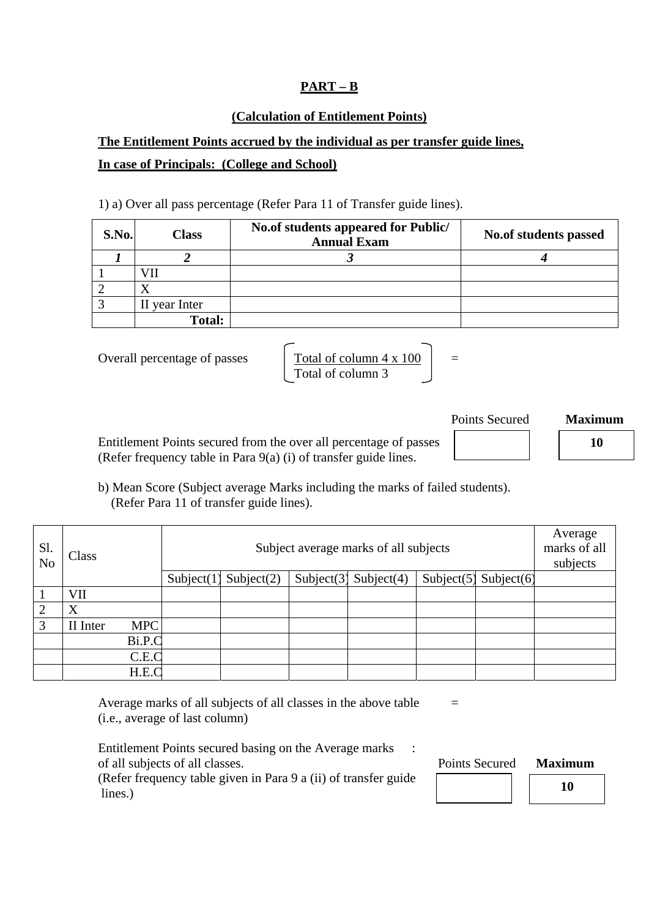#### **PART – B**

#### **(Calculation of Entitlement Points)**

## **The Entitlement Points accrued by the individual as per transfer guide lines, In case of Principals: (College and School)**

1) a) Over all pass percentage (Refer Para 11 of Transfer guide lines).

| S.No. | <b>Class</b>  | No.of students appeared for Public/<br><b>Annual Exam</b> | <b>No.of students passed</b> |
|-------|---------------|-----------------------------------------------------------|------------------------------|
|       |               |                                                           |                              |
|       | VH            |                                                           |                              |
|       |               |                                                           |                              |
|       | II year Inter |                                                           |                              |
|       | <b>Total:</b> |                                                           |                              |

Overall percentage of passes 
$$
\int \frac{\text{Total of column 4 x 100}}{\text{Total of column 3}} =
$$

Entitlement Points secured from the over all percentage of passes  $\vert$  **10 10** (Refer frequency table in Para 9(a) (i) of transfer guide lines.

b) Mean Score (Subject average Marks including the marks of failed students). (Refer Para 11 of transfer guide lines).

| Sl.<br>N <sub>o</sub> | Class    |            | Subject average marks of all subjects |               |               |               |  |                       | Average<br>marks of all<br>subjects |
|-----------------------|----------|------------|---------------------------------------|---------------|---------------|---------------|--|-----------------------|-------------------------------------|
|                       |          |            | Subject(1)                            | Subject $(2)$ | Subject $(3)$ | Subject $(4)$ |  | Subject(5) Subject(6) |                                     |
|                       | VII      |            |                                       |               |               |               |  |                       |                                     |
|                       | X        |            |                                       |               |               |               |  |                       |                                     |
| 3                     | II Inter | <b>MPC</b> |                                       |               |               |               |  |                       |                                     |
|                       |          | Bi.P.C     |                                       |               |               |               |  |                       |                                     |
|                       |          | C.E.C      |                                       |               |               |               |  |                       |                                     |
|                       |          | H.E.C      |                                       |               |               |               |  |                       |                                     |

Average marks of all subjects of all classes in the above table  $=$ (i.e., average of last column)

Entitlement Points secured basing on the Average marks : of all subjects of all classes. Points Secured **Maximum**

(Refer frequency table given in Para 9 a (ii) of transfer guide lines.)

Points Secured **Maximum**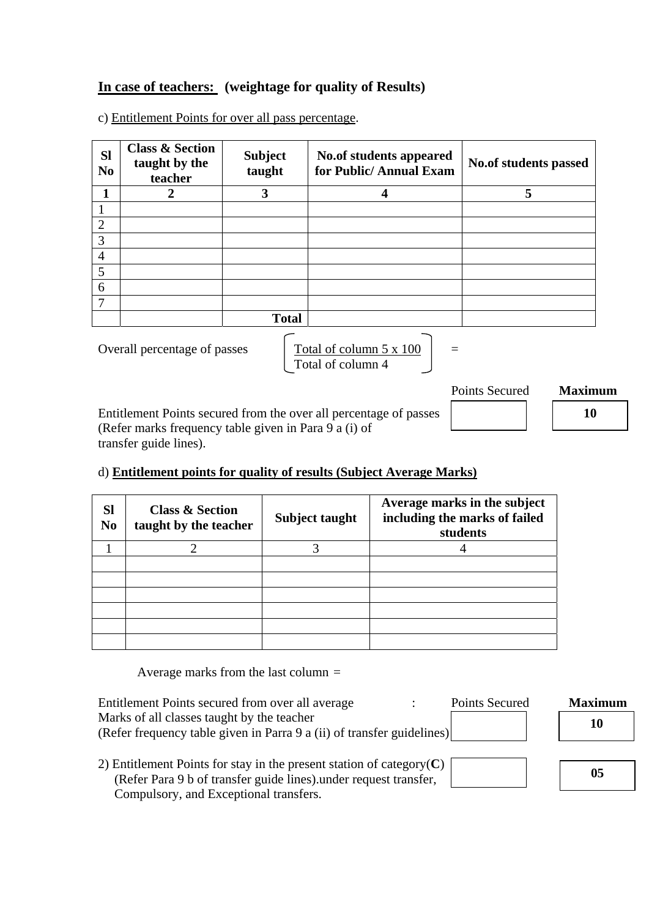### **In case of teachers: (weightage for quality of Results)**

c) Entitlement Points for over all pass percentage.

| <b>SI</b><br>N <sub>0</sub> | <b>Class &amp; Section</b><br>taught by the<br>teacher | <b>Subject</b><br>taught | No.of students appeared<br>for Public/Annual Exam                    | No.of students passed |                |
|-----------------------------|--------------------------------------------------------|--------------------------|----------------------------------------------------------------------|-----------------------|----------------|
|                             | $\overline{2}$                                         | 3                        | 4                                                                    | 5                     |                |
|                             |                                                        |                          |                                                                      |                       |                |
| $\overline{2}$              |                                                        |                          |                                                                      |                       |                |
| 3                           |                                                        |                          |                                                                      |                       |                |
| $\overline{4}$              |                                                        |                          |                                                                      |                       |                |
| 5                           |                                                        |                          |                                                                      |                       |                |
| 6                           |                                                        |                          |                                                                      |                       |                |
| 7                           |                                                        |                          |                                                                      |                       |                |
|                             |                                                        | <b>Total</b>             |                                                                      |                       |                |
|                             | Overall percentage of passes                           |                          | Total of column 5 x 100<br>Total of column 4                         | $=$                   |                |
|                             |                                                        |                          |                                                                      | <b>Points Secured</b> | <b>Maximum</b> |
|                             |                                                        |                          | Eatitlement Deinte convert from the over all negociations of persons |                       | 1 A            |

Entitlement Points secured from the over all percentage of passes **10 10 10** (Refer marks frequency table given in Para 9 a (i) of transfer guide lines).

#### d) **Entitlement points for quality of results (Subject Average Marks)**

| <b>Sl</b><br>N <sub>0</sub> | <b>Class &amp; Section</b><br>taught by the teacher | Subject taught | Average marks in the subject<br>including the marks of failed<br>students |
|-----------------------------|-----------------------------------------------------|----------------|---------------------------------------------------------------------------|
|                             |                                                     | 2              |                                                                           |
|                             |                                                     |                |                                                                           |
|                             |                                                     |                |                                                                           |
|                             |                                                     |                |                                                                           |
|                             |                                                     |                |                                                                           |
|                             |                                                     |                |                                                                           |
|                             |                                                     |                |                                                                           |

Average marks from the last column =

| Entitlement Points secured from over all average                        | Points Secured | <b>Maximum</b> |
|-------------------------------------------------------------------------|----------------|----------------|
| Marks of all classes taught by the teacher                              |                | 10             |
| (Refer frequency table given in Parra 9 a (ii) of transfer guidelines)  |                |                |
|                                                                         |                |                |
| 2) Entitlement Points for stay in the present station of category $(C)$ |                |                |
| (Refer Para 9 b of transfer guide lines) under request transfer,        |                | 05             |
| Compulsory, and Exceptional transfers.                                  |                |                |